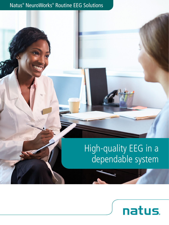# Natus® NeuroWorks® Routine EEG Solutions

# High-quality EEG in a dependable system

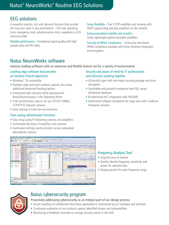# Natus® NeuroWorks® Routine EEG Solutions

# EEG solutions

A powerful solution, rich with dynamic features that provide the tools you need in any environment – EEG lab, operating room, emergency room, private practice clinic, outpatient or EEG service provider.

Reliable performance – Exceptional signal quality with high sample rates and HD video

Setup flexibility – True TCP/IP amplifiers and cameras with DHCP support plug and play anywhere on the network

Enhanced patient mobility and comfort – Small, lightweight patient-wearable amplifiers

Security & HIPAA compliance – XLSecurity role-based HIPAA compliance package with Active Directory integration and encryption

# Natus NeuroWorks software

Industry leading software with an extensive and flexible feature set for a variety of environments

#### Leading-edge software that provides an intuitive clinical experience

- Windows<sup>®</sup> 10 compatible
- Multiple spike and event analysis options, plus many additional Advanced Trending options
- Automated data recovery while operating the Bovie/Electrocautery in the Operating Room
- Fully synchronized, easy to set up, Full HD (1080p) TCP/IP PTZ network cameras
- Data sharing in multi-site environments

#### Time-saving administrator functions

- Easy setup using IP streaming cameras and amplifiers
- Automated discovery of amplifiers and cameras
- Automated settings synchronization across networked NeuroWorks stations



#### Security and peace of mind for IT professionals and clinicians working together

- XLSecurity Layer with role-based security package and drive encryption
- Searchable and powerful enterprise level SQL server distributed database
- Bi-directional HL7 integration with HIS/EMR
- Automated software installation for large sites with Cerebrum Enterprise Solution

## Frequency Analysis Tool

- Drag the area of interest
- Quickly identify frequency, amplitude and power for selected data
- Display percent for each frequency range



## Natus cybersecurity program

#### Proactively addressing cybersecurity as an integral part of our design process

- Secure handling of confidential information generated or maintained by our hardware and software
- Continuous evaluation of our products against identified threats and vulnerabilities
- Monitoring of feedback channels to manage security events in the field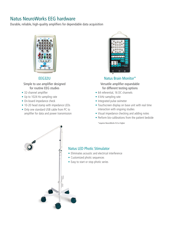# Natus NeuroWorks EEG hardware

Durable, reliable, high-quality amplifiers for dependable data acquisition



#### EEG32U

#### Simple to use amplifier designed for routine EEG studies

- 32-channel amplifier
- Up to 1024 Hz sampling rate
- On-board impedance check
- 10-20 head stamp with impedance LEDs
- Only one standard USB cable from PC to amplifier for data and power transmission



#### Natus Brain Monitor\*

Versatile amplifier expandable for different testing options

- 64 referential, 16 DC channels
- 4 kHz sampling rate
- Integrated pulse oximeter
- Touchscreen display on base unit with real time interaction with ongoing studies
- Visual impedance checking and adding notes
- Perform bio-calibrations from the patient bedside

\*requires NeuroWorks 9.0 or higher



#### Natus LED Photic Stimulator

- Eliminates acoustic and electrical interference
- Customized photic sequences
- Easy to start or stop photic series